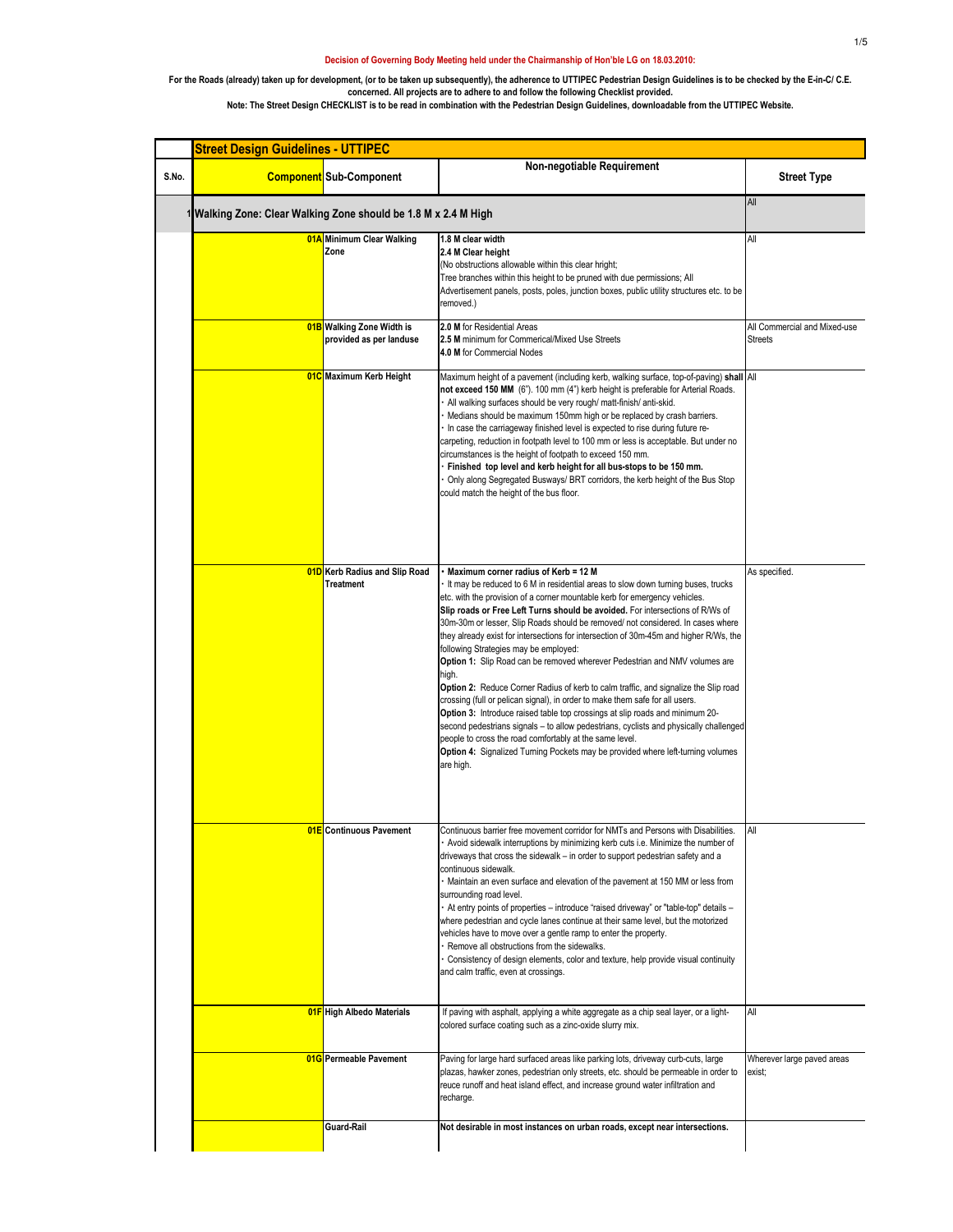## **Decision of Governing Body Meeting held under the Chairmanship of Hon'ble LG on 18.03.2010:**

For the Roads (already) taken up for development, (or to be taken up subsequently), the adherence to UTTIPEC Pedestrian Design Guidelines is to be checked by the E-in-C/ C.E. **concerned. All projects are to adhere to and follow the following Checklist provided. Note: The Street Design CHECKLIST is to be read in combination with the Pedestrian Design Guidelines, downloadable from the UTTIPEC Website.**

## S.No. **Component** Sub-Component **Non-negotiable Requirement Street Type 1 Walking Zone: Clear Walking Zone should be 1.8 M x 2.4 M High**  All **01A Minimum Clear Walking Zone 1.8 M clear width 2.4 M Clear height**  (No obstructions allowable within this clear hright; Tree branches within this height to be pruned with due permissions; All Advertisement panels, posts, poles, junction boxes, public utility structures etc. to be emoved.) All **01B Walking Zone Width is provided as per landuse 2.0 M** for Residential Areas **2.5 M** minimum for Commerical/Mixed Use Streets **4.0 M** for Commercial Nodes All Commercial and Mixed-use Streets **01D** Kerb Radius and Slip Road | Maximum corner radius of Kerb = 12 M Asspecified. **Maximum Kerb Height** Maximum height of a pavement (including kerb, walking surface, top-of-paving) **shall**  All **not exceed 150 MM** (6"). 100 mm (4") kerb height is preferable for Arterial Roads. All walking surfaces should be very rough/ matt-finish/ anti-skid. Medians should be maximum 150mm high or be replaced by crash barriers. In case the carriageway finished level is expected to rise during future recarpeting, reduction in footpath level to 100 mm or less is acceptable. But under no circumstances is the height of footpath to exceed 150 mm. ‧ **Finished top level and kerb height for all bus-stops to be 150 mm.**  Only along Segregated Busways/ BRT corridors, the kerb height of the Bus Stop could match the height of the bus floor. **Street Design Guidelines - UTTIPEC 01C** Maximum Kerb Height **Treatment** ‧ It may be reduced to 6 M in residential areas to slow down turning buses, trucks etc. with the provision of a corner mountable kerb for emergency vehicles. **Slip roads or Free Left Turns should be avoided.** For intersections of R/Ws of 30m-30m or lesser, Slip Roads should be removed/ not considered. In cases where they already exist for intersections for intersection of 30m-45m and higher R/Ws, the following Strategies may be employed: **Option 1:** Slip Road can be removed wherever Pedestrian and NMV volumes are high. **Option 2:** Reduce Corner Radius of kerb to calm traffic, and signalize the Slip road crossing (full or pelican signal), in order to make them safe for all users. **Option 3:** Introduce raised table top crossings at slip roads and minimum 20 second pedestrians signals – to allow pedestrians, cyclists and physically challenged people to cross the road comfortably at the same level. **Option 4:** Signalized Turning Pockets may be provided where left-turning volumes are high. **01E** Continuous Pavement **Continuous barrier free movement corridor for NMTs and Persons with Disabilities.** ‧ Avoid sidewalk interruptions by minimizing kerb cuts i.e. Minimize the number of driveways that cross the sidewalk – in order to support pedestrian safety and a continuous sidewalk. Maintain an even surface and elevation of the pavement at 150 MM or less from surrounding road level. At entry points of properties – introduce "raised driveway" or "table-top" details where pedestrian and cycle lanes continue at their same level, but the motorized vehicles have to move over a gentle ramp to enter the property. ‧ Remove all obstructions from the sidewalks. Consistency of design elements, color and texture, help provide visual continuity and calm traffic, even at crossings. All **01F** High Albedo Materials If paving with asphalt, applying a white aggregate as a chip seal layer, or a lightcolored surface coating such as a zinc-oxide slurry mix. All **01G** Permeable Pavement Paving for large hard surfaced areas like parking lots, driveway curb-cuts, large plazas, hawker zones, pedestrian only streets, etc. should be permeable in order to reuce runoff and heat island effect, and increase ground water infiltration and recharge. Wherever large paved areas exist; **Guard-Rail Not desirable in most instances on urban roads, except near intersections.**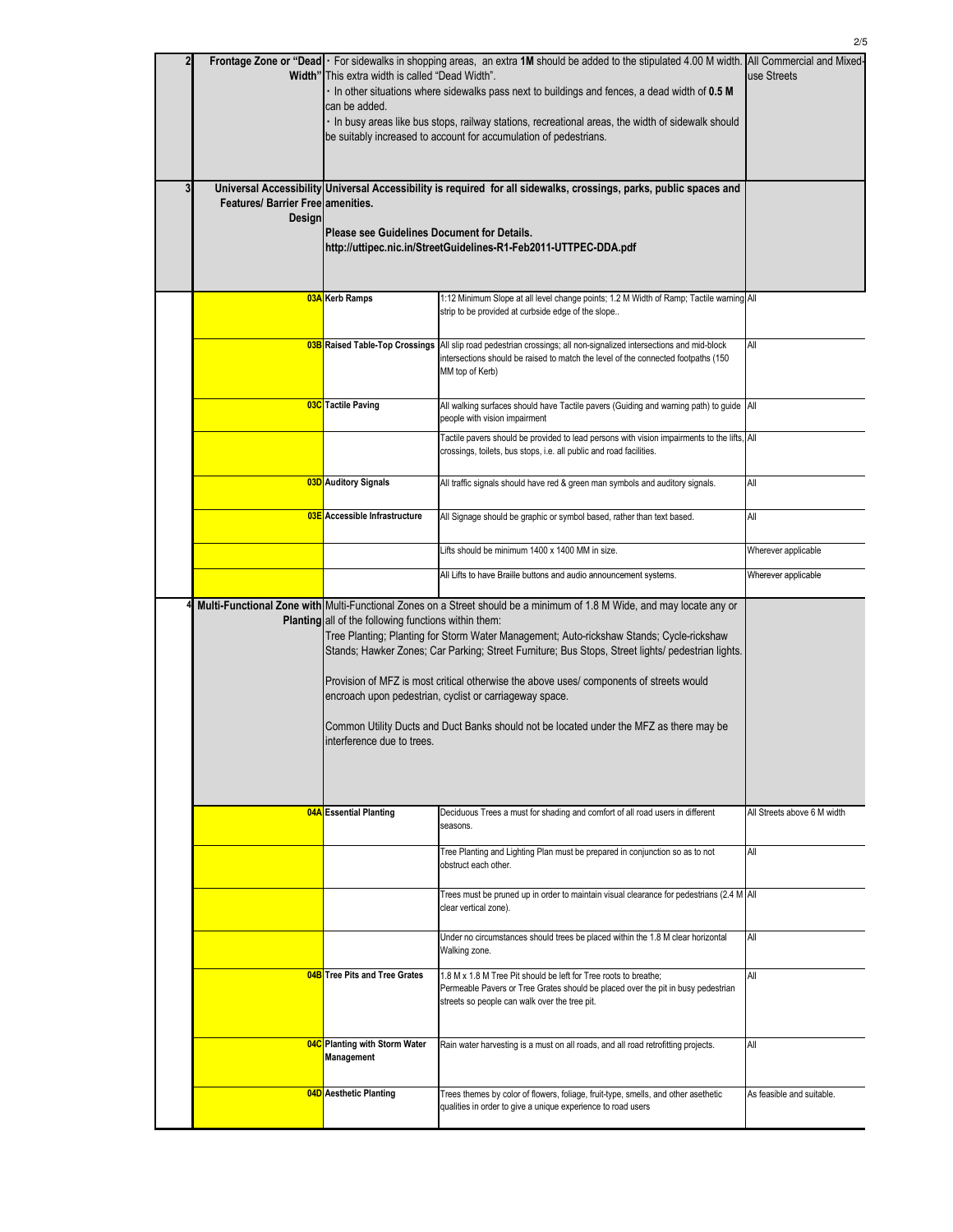| 3 | <b>Features/ Barrier Free amenities.</b><br>Design                                                                     | Frontage Zone or "Dead • For sidewalks in shopping areas, an extra 1M should be added to the stipulated 4.00 M width.<br><b>Width"</b> This extra width is called "Dead Width".<br>In other situations where sidewalks pass next to buildings and fences, a dead width of 0.5 M<br>can be added.<br>In busy areas like bus stops, railway stations, recreational areas, the width of sidewalk should<br>be suitably increased to account for accumulation of pedestrians.<br>Universal Accessibility Universal Accessibility is required for all sidewalks, crossings, parks, public spaces and<br>Please see Guidelines Document for Details.<br>http://uttipec.nic.in/StreetGuidelines-R1-Feb2011-UTTPEC-DDA.pdf | All Commercial and Mixed-<br>use Streets                                                                                                                                                              |                             |  |
|---|------------------------------------------------------------------------------------------------------------------------|--------------------------------------------------------------------------------------------------------------------------------------------------------------------------------------------------------------------------------------------------------------------------------------------------------------------------------------------------------------------------------------------------------------------------------------------------------------------------------------------------------------------------------------------------------------------------------------------------------------------------------------------------------------------------------------------------------------------|-------------------------------------------------------------------------------------------------------------------------------------------------------------------------------------------------------|-----------------------------|--|
|   |                                                                                                                        | 03A Kerb Ramps                                                                                                                                                                                                                                                                                                                                                                                                                                                                                                                                                                                                                                                                                                     | 1:12 Minimum Slope at all level change points; 1.2 M Width of Ramp; Tactile warning All<br>strip to be provided at curbside edge of the slope                                                         |                             |  |
|   |                                                                                                                        |                                                                                                                                                                                                                                                                                                                                                                                                                                                                                                                                                                                                                                                                                                                    |                                                                                                                                                                                                       |                             |  |
|   |                                                                                                                        | 03B Raised Table-Top Crossings                                                                                                                                                                                                                                                                                                                                                                                                                                                                                                                                                                                                                                                                                     | All slip road pedestrian crossings; all non-signalized intersections and mid-block<br>intersections should be raised to match the level of the connected footpaths (150<br>MM top of Kerb)            | All                         |  |
|   |                                                                                                                        | 03C Tactile Paving                                                                                                                                                                                                                                                                                                                                                                                                                                                                                                                                                                                                                                                                                                 | All walking surfaces should have Tactile pavers (Guiding and warning path) to guide All<br>people with vision impairment                                                                              |                             |  |
|   |                                                                                                                        |                                                                                                                                                                                                                                                                                                                                                                                                                                                                                                                                                                                                                                                                                                                    | Tactile pavers should be provided to lead persons with vision impairments to the lifts, All<br>crossings, toilets, bus stops, i.e. all public and road facilities.                                    |                             |  |
|   |                                                                                                                        | 03D Auditory Signals                                                                                                                                                                                                                                                                                                                                                                                                                                                                                                                                                                                                                                                                                               | All traffic signals should have red & green man symbols and auditory signals.                                                                                                                         | All                         |  |
|   |                                                                                                                        | 03E Accessible Infrastructure                                                                                                                                                                                                                                                                                                                                                                                                                                                                                                                                                                                                                                                                                      | All Signage should be graphic or symbol based, rather than text based.                                                                                                                                | All                         |  |
|   |                                                                                                                        |                                                                                                                                                                                                                                                                                                                                                                                                                                                                                                                                                                                                                                                                                                                    | Lifts should be minimum 1400 x 1400 MM in size.                                                                                                                                                       | Wherever applicable         |  |
|   |                                                                                                                        |                                                                                                                                                                                                                                                                                                                                                                                                                                                                                                                                                                                                                                                                                                                    | All Lifts to have Braille buttons and audio announcement systems.                                                                                                                                     | Wherever applicable         |  |
|   | Multi-Functional Zone with Multi-Functional Zones on a Street should be a minimum of 1.8 M Wide, and may locate any or | <b>Planting</b> all of the following functions within them:<br>Tree Planting; Planting for Storm Water Management; Auto-rickshaw Stands; Cycle-rickshaw<br>Stands; Hawker Zones; Car Parking; Street Furniture; Bus Stops, Street lights/ pedestrian lights.<br>Provision of MFZ is most critical otherwise the above uses/ components of streets would<br>encroach upon pedestrian, cyclist or carriageway space.<br>Common Utility Ducts and Duct Banks should not be located under the MFZ as there may be<br>interference due to trees.                                                                                                                                                                        |                                                                                                                                                                                                       |                             |  |
|   |                                                                                                                        |                                                                                                                                                                                                                                                                                                                                                                                                                                                                                                                                                                                                                                                                                                                    |                                                                                                                                                                                                       |                             |  |
|   |                                                                                                                        | 04A Essential Planting                                                                                                                                                                                                                                                                                                                                                                                                                                                                                                                                                                                                                                                                                             | Deciduous Trees a must for shading and comfort of all road users in different<br>seasons.                                                                                                             | All Streets above 6 M width |  |
|   |                                                                                                                        |                                                                                                                                                                                                                                                                                                                                                                                                                                                                                                                                                                                                                                                                                                                    | Tree Planting and Lighting Plan must be prepared in conjunction so as to not<br>obstruct each other.                                                                                                  | All                         |  |
|   |                                                                                                                        |                                                                                                                                                                                                                                                                                                                                                                                                                                                                                                                                                                                                                                                                                                                    | Trees must be pruned up in order to maintain visual clearance for pedestrians (2.4 M All<br>clear vertical zone).                                                                                     |                             |  |
|   |                                                                                                                        |                                                                                                                                                                                                                                                                                                                                                                                                                                                                                                                                                                                                                                                                                                                    | Under no circumstances should trees be placed within the 1.8 M clear horizontal<br>Walking zone.                                                                                                      | All                         |  |
|   |                                                                                                                        | 04B Tree Pits and Tree Grates                                                                                                                                                                                                                                                                                                                                                                                                                                                                                                                                                                                                                                                                                      | 1.8 M x 1.8 M Tree Pit should be left for Tree roots to breathe;<br>Permeable Pavers or Tree Grates should be placed over the pit in busy pedestrian<br>streets so people can walk over the tree pit. | All                         |  |
|   |                                                                                                                        | 04C Planting with Storm Water<br>Management                                                                                                                                                                                                                                                                                                                                                                                                                                                                                                                                                                                                                                                                        | Rain water harvesting is a must on all roads, and all road retrofitting projects.                                                                                                                     | All                         |  |
|   |                                                                                                                        | 04D Aesthetic Planting                                                                                                                                                                                                                                                                                                                                                                                                                                                                                                                                                                                                                                                                                             | Trees themes by color of flowers, foliage, fruit-type, smells, and other asethetic<br>qualities in order to give a unique experience to road users                                                    | As feasible and suitable.   |  |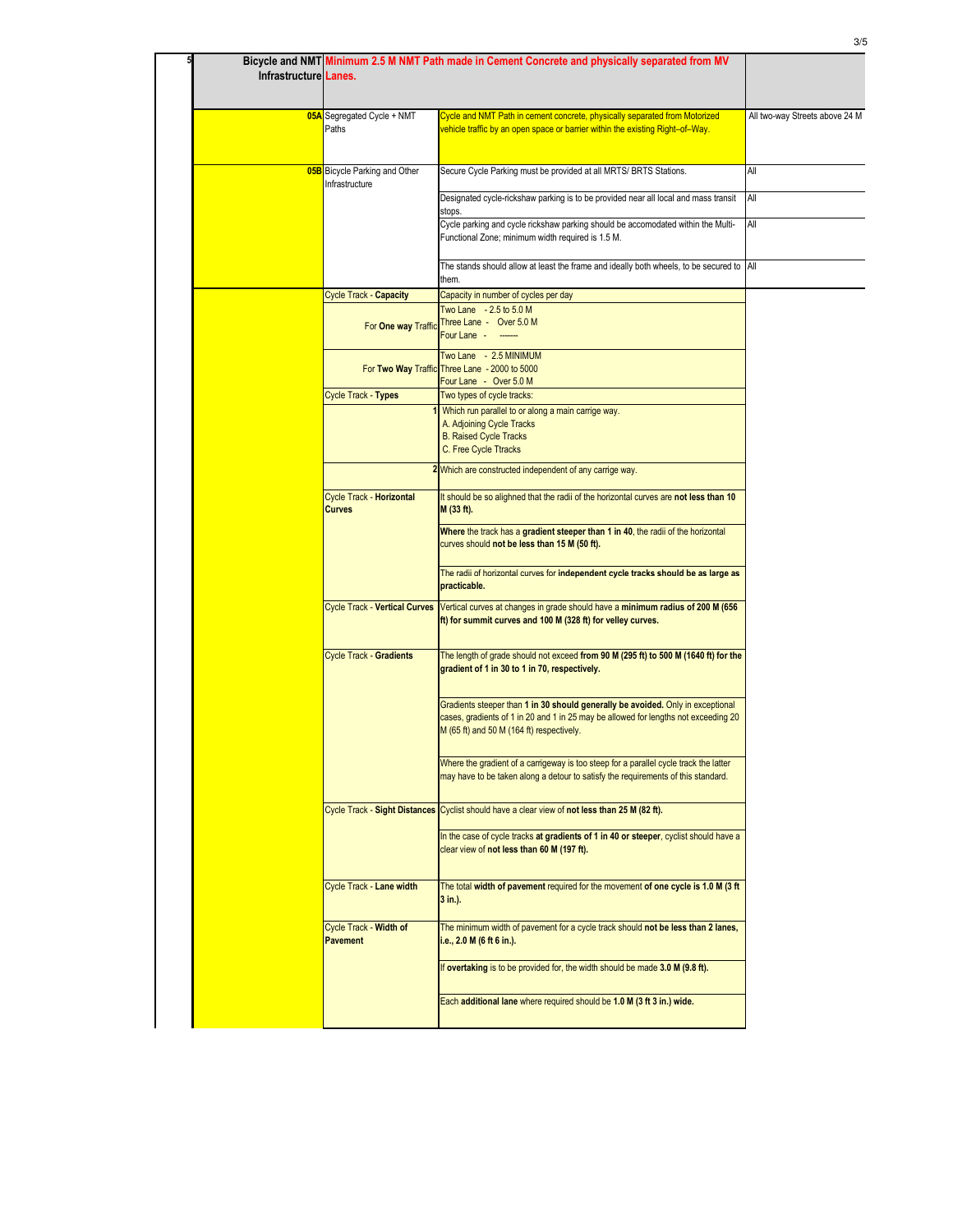| Bicycle and NMT Minimum 2.5 M NMT Path made in Cement Concrete and physically separated from MV<br>Infrastructure Lanes. |                                                                                                                                                                                                                     |                                |  |
|--------------------------------------------------------------------------------------------------------------------------|---------------------------------------------------------------------------------------------------------------------------------------------------------------------------------------------------------------------|--------------------------------|--|
| <b>05A</b> Segregated Cycle + NMT<br>Paths                                                                               | Cycle and NMT Path in cement concrete, physically separated from Motorized<br>vehicle traffic by an open space or barrier within the existing Right-of-Way.                                                         | All two-way Streets above 24 M |  |
| <b>05B</b> Bicycle Parking and Other<br>Infrastructure                                                                   | Secure Cycle Parking must be provided at all MRTS/ BRTS Stations.                                                                                                                                                   | All                            |  |
|                                                                                                                          | Designated cycle-rickshaw parking is to be provided near all local and mass transit<br>stops.                                                                                                                       | All                            |  |
|                                                                                                                          | Cycle parking and cycle rickshaw parking should be accomodated within the Multi-<br>Functional Zone; minimum width required is 1.5 M.                                                                               | All                            |  |
|                                                                                                                          | The stands should allow at least the frame and ideally both wheels, to be secured to All<br>them.                                                                                                                   |                                |  |
| <b>Cycle Track - Capacity</b>                                                                                            | Capacity in number of cycles per day                                                                                                                                                                                |                                |  |
| For One way Traffic                                                                                                      | Two Lane - 2.5 to 5.0 M<br>Three Lane - Over 5.0 M<br>Four Lane -                                                                                                                                                   |                                |  |
|                                                                                                                          | Two Lane - 2.5 MINIMUM<br>For Two Way Traffic Three Lane - 2000 to 5000<br>Four Lane - Over 5.0 M                                                                                                                   |                                |  |
| <b>Cycle Track - Types</b>                                                                                               | Two types of cycle tracks:<br>Which run parallel to or along a main carrige way.                                                                                                                                    |                                |  |
|                                                                                                                          | A. Adjoining Cycle Tracks<br><b>B. Raised Cycle Tracks</b><br>C. Free Cycle Ttracks                                                                                                                                 |                                |  |
|                                                                                                                          | 2 Which are constructed independent of any carrige way.                                                                                                                                                             |                                |  |
| Cycle Track - Horizontal<br><b>Curves</b>                                                                                | It should be so alighned that the radii of the horizontal curves are not less than 10<br>M (33 ft).                                                                                                                 |                                |  |
|                                                                                                                          | Where the track has a gradient steeper than 1 in 40, the radii of the horizontal<br>curves should not be less than 15 M (50 ft).                                                                                    |                                |  |
|                                                                                                                          | The radii of horizontal curves for independent cycle tracks should be as large as<br>practicable.                                                                                                                   |                                |  |
| <b>Cycle Track - Vertical Curves</b>                                                                                     | Vertical curves at changes in grade should have a minimum radius of 200 M (656<br>ft) for summit curves and 100 M (328 ft) for velley curves.                                                                       |                                |  |
| <b>Cycle Track - Gradients</b>                                                                                           | The length of grade should not exceed from 90 M (295 ft) to 500 M (1640 ft) for the<br>gradient of 1 in 30 to 1 in 70, respectively.                                                                                |                                |  |
|                                                                                                                          | Gradients steeper than 1 in 30 should generally be avoided. Only in exceptional<br>cases, gradients of 1 in 20 and 1 in 25 may be allowed for lengths not exceeding 20<br>M (65 ft) and 50 M (164 ft) respectively. |                                |  |
|                                                                                                                          | Where the gradient of a carrigeway is too steep for a parallel cycle track the latter<br>may have to be taken along a detour to satisfy the requirements of this standard.                                          |                                |  |
|                                                                                                                          | Cycle Track - Sight Distances Cyclist should have a clear view of not less than 25 M (82 ft).                                                                                                                       |                                |  |
|                                                                                                                          | In the case of cycle tracks at gradients of 1 in 40 or steeper, cyclist should have a<br>clear view of not less than 60 M (197 ft).                                                                                 |                                |  |
| Cycle Track - Lane width                                                                                                 | The total width of pavement required for the movement of one cycle is 1.0 M (3 ft<br>3 in.).                                                                                                                        |                                |  |
| Cycle Track - Width of<br><b>Pavement</b>                                                                                | The minimum width of pavement for a cycle track should not be less than 2 lanes,<br>i.e., 2.0 M (6 ft 6 in.).                                                                                                       |                                |  |
|                                                                                                                          | If overtaking is to be provided for, the width should be made 3.0 M (9.8 ft).                                                                                                                                       |                                |  |
|                                                                                                                          | Each additional lane where required should be 1.0 M (3 ft 3 in.) wide.                                                                                                                                              |                                |  |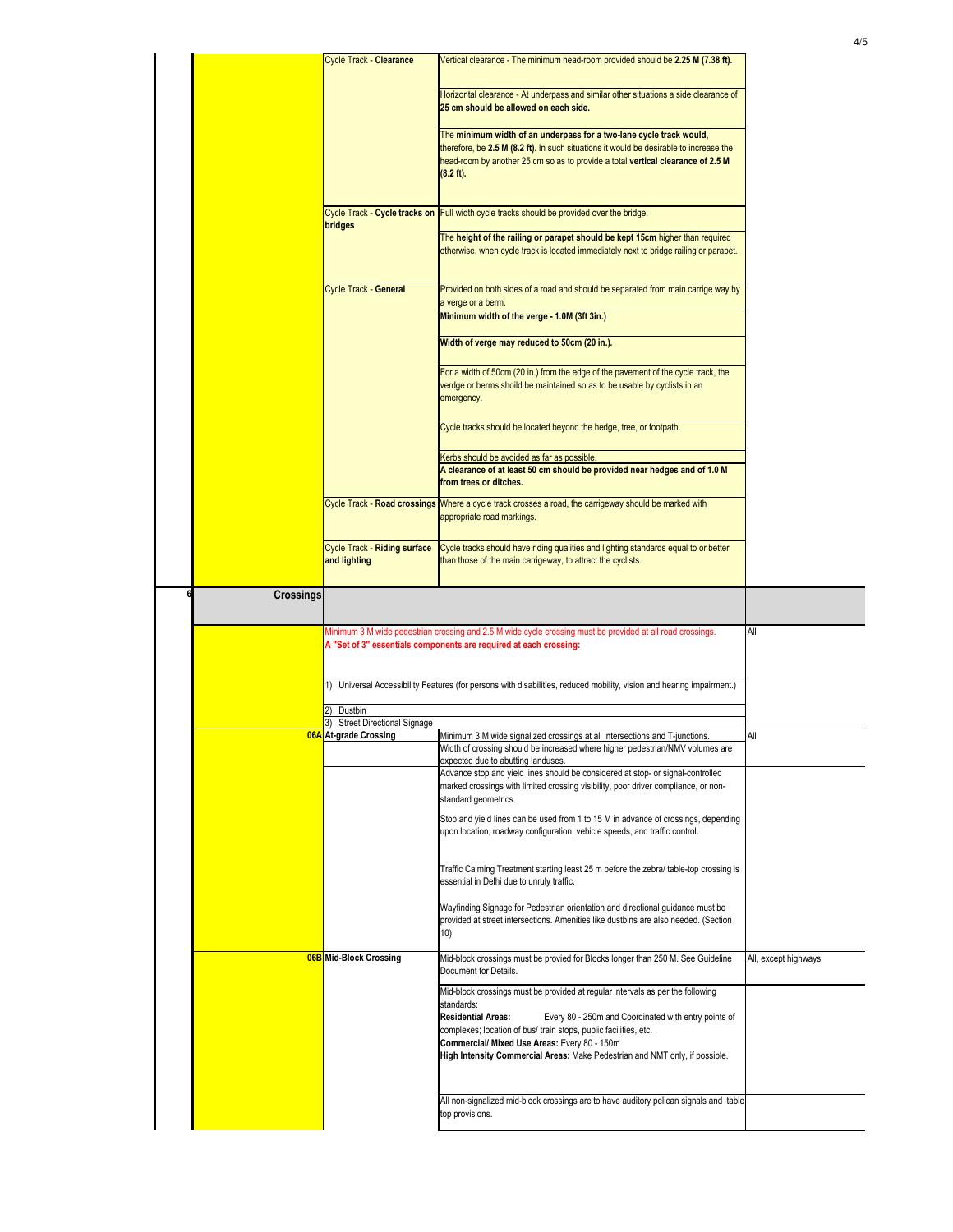|   |                  | Cycle Track - Clearance                        | Vertical clearance - The minimum head-room provided should be 2.25 M (7.38 ft).                                                                                                                                                                                          |                      |
|---|------------------|------------------------------------------------|--------------------------------------------------------------------------------------------------------------------------------------------------------------------------------------------------------------------------------------------------------------------------|----------------------|
|   |                  |                                                | Horizontal clearance - At underpass and similar other situations a side clearance of<br>25 cm should be allowed on each side.                                                                                                                                            |                      |
|   |                  |                                                | The minimum width of an underpass for a two-lane cycle track would,<br>therefore, be 2.5 M (8.2 ft). In such situations it would be desirable to increase the<br>head-room by another 25 cm so as to provide a total vertical clearance of 2.5 M<br>$(8.2 \text{ ft})$ . |                      |
|   |                  | bridges                                        | Cycle Track - Cycle tracks on Full width cycle tracks should be provided over the bridge.                                                                                                                                                                                |                      |
|   |                  |                                                | The height of the railing or parapet should be kept 15cm higher than required<br>otherwise, when cycle track is located immediately next to bridge railing or parapet.                                                                                                   |                      |
|   |                  | Cycle Track - General                          | Provided on both sides of a road and should be separated from main carrige way by<br>a verge or a berm.                                                                                                                                                                  |                      |
|   |                  |                                                | Minimum width of the verge - 1.0M (3ft 3in.)<br>Width of verge may reduced to 50cm (20 in.).                                                                                                                                                                             |                      |
|   |                  |                                                | For a width of 50cm (20 in.) from the edge of the pavement of the cycle track, the                                                                                                                                                                                       |                      |
|   |                  |                                                | verdge or berms shoild be maintained so as to be usable by cyclists in an<br>emergency.                                                                                                                                                                                  |                      |
|   |                  |                                                | Cycle tracks should be located beyond the hedge, tree, or footpath.                                                                                                                                                                                                      |                      |
|   |                  |                                                | Kerbs should be avoided as far as possible.<br>A clearance of at least 50 cm should be provided near hedges and of 1.0 M                                                                                                                                                 |                      |
|   |                  |                                                | from trees or ditches.<br>Cycle Track - Road crossings Where a cycle track crosses a road, the carrigeway should be marked with                                                                                                                                          |                      |
|   |                  |                                                | appropriate road markings.                                                                                                                                                                                                                                               |                      |
|   |                  | Cycle Track - Riding surface<br>and lighting   | Cycle tracks should have riding qualities and lighting standards equal to or better<br>than those of the main carrigeway, to attract the cyclists.                                                                                                                       |                      |
| 6 | <b>Crossings</b> |                                                |                                                                                                                                                                                                                                                                          |                      |
|   |                  |                                                |                                                                                                                                                                                                                                                                          |                      |
|   |                  |                                                | Minimum 3 M wide pedestrian crossing and 2.5 M wide cycle crossing must be provided at all road crossings.<br>A "Set of 3" essentials components are required at each crossing:                                                                                          | All                  |
|   |                  |                                                | 1) Universal Accessibility Features (for persons with disabilities, reduced mobility, vision and hearing impairment.)                                                                                                                                                    |                      |
|   |                  | 2)<br>Dustbin<br>3) Street Directional Signage |                                                                                                                                                                                                                                                                          |                      |
|   |                  | 06A At-grade Crossing                          | Minimum 3 M wide signalized crossings at all intersections and T-junctions.<br>Width of crossing should be increased where higher pedestrian/NMV volumes are                                                                                                             | All                  |
|   |                  |                                                | expected due to abutting landuses.<br>Advance stop and yield lines should be considered at stop- or signal-controlled<br>marked crossings with limited crossing visibility, poor driver compliance, or non-<br>standard geometrics.                                      |                      |
|   |                  |                                                | Stop and yield lines can be used from 1 to 15 M in advance of crossings, depending<br>upon location, roadway configuration, vehicle speeds, and traffic control.                                                                                                         |                      |
|   |                  |                                                | Traffic Calming Treatment starting least 25 m before the zebra/ table-top crossing is<br>essential in Delhi due to unruly traffic.                                                                                                                                       |                      |
|   |                  |                                                | Wayfinding Signage for Pedestrian orientation and directional guidance must be<br>provided at street intersections. Amenities like dustbins are also needed. (Section<br>10)                                                                                             |                      |
|   |                  | 06B Mid-Block Crossing                         | Mid-block crossings must be provied for Blocks longer than 250 M. See Guideline<br>Document for Details.                                                                                                                                                                 | All, except highways |
|   |                  |                                                | Mid-block crossings must be provided at regular intervals as per the following<br>standards:<br><b>Residential Areas:</b><br>Every 80 - 250m and Coordinated with entry points of<br>complexes; location of bus/ train stops, public facilities, etc.                    |                      |
|   |                  |                                                | Commercial/ Mixed Use Areas: Every 80 - 150m<br>High Intensity Commercial Areas: Make Pedestrian and NMT only, if possible.                                                                                                                                              |                      |
|   |                  |                                                | All non-signalized mid-block crossings are to have auditory pelican signals and table<br>top provisions.                                                                                                                                                                 |                      |